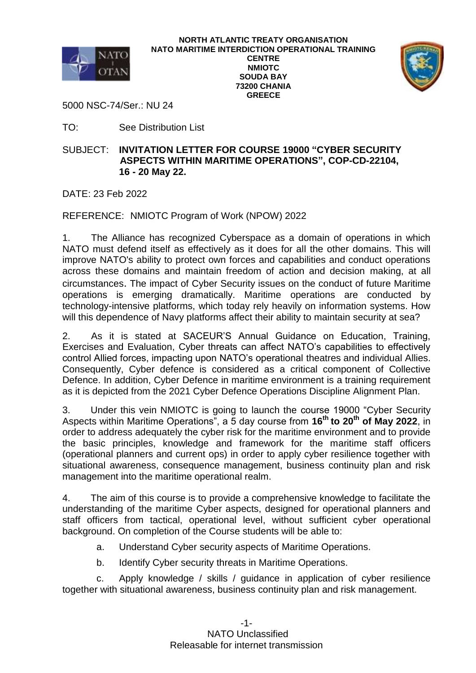



5000 NSC-74/Ser.: NU 24

TO: See Distribution List

## SUBJECT: **INVITATION LETTER FOR COURSE 19000 "CYBER SECURITY ASPECTS WITHIN MARITIME OPERATIONS", COP-CD-22104, 16 - 20 May 22.**

DATE: 23 Feb 2022

REFERENCE: NMIOTC Program of Work (NPOW) 2022

1. The Alliance has recognized Cyberspace as a domain of operations in which NATO must defend itself as effectively as it does for all the other domains. This will improve NATO's ability to protect own forces and capabilities and conduct operations across these domains and maintain freedom of action and decision making, at all circumstances. The impact of Cyber Security issues on the conduct of future Maritime operations is emerging dramatically. Maritime operations are conducted by technology-intensive platforms, which today rely heavily on information systems. How will this dependence of Navy platforms affect their ability to maintain security at sea?

2. As it is stated at SACEUR'S Annual Guidance on Education, Training, Exercises and Evaluation, Cyber threats can affect NATO's capabilities to effectively control Allied forces, impacting upon NATO's operational theatres and individual Allies. Consequently, Cyber defence is considered as a critical component of Collective Defence. In addition, Cyber Defence in maritime environment is a training requirement as it is depicted from the 2021 Cyber Defence Operations Discipline Alignment Plan.

3. Under this vein NMIOTC is going to launch the course 19000 "Cyber Security Aspects within Maritime Operations", a 5 day course from **16th to 20th of May 2022**, in order to address adequately the cyber risk for the maritime environment and to provide the basic principles, knowledge and framework for the maritime staff officers (operational planners and current ops) in order to apply cyber resilience together with situational awareness, consequence management, business continuity plan and risk management into the maritime operational realm.

4. The aim of this course is to provide a comprehensive knowledge to facilitate the understanding of the maritime Cyber aspects, designed for operational planners and staff officers from tactical, operational level, without sufficient cyber operational background. On completion of the Course students will be able to:

- a. Understand Cyber security aspects of Maritime Operations.
- b. Identify Cyber security threats in Maritime Operations.

c. Apply knowledge / skills / guidance in application of cyber resilience together with situational awareness, business continuity plan and risk management.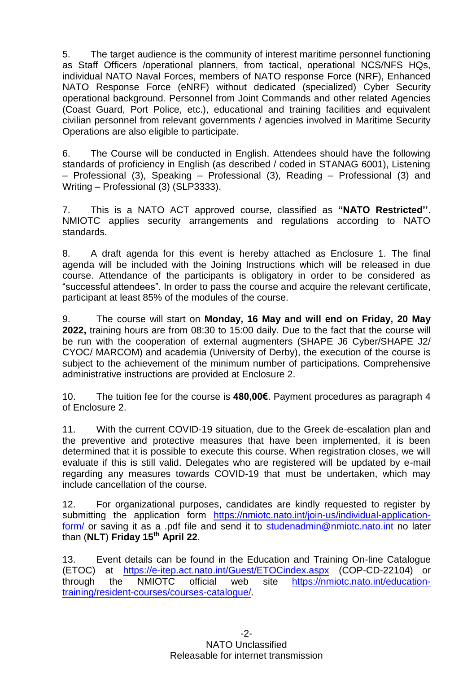5. The target audience is the community of interest maritime personnel functioning as Staff Officers /operational planners, from tactical, operational NCS/NFS HQs, individual NATO Naval Forces, members of NATO response Force (NRF), Enhanced NATO Response Force (eNRF) without dedicated (specialized) Cyber Security operational background. Personnel from Joint Commands and other related Agencies (Coast Guard, Port Police, etc.), educational and training facilities and equivalent civilian personnel from relevant governments / agencies involved in Maritime Security Operations are also eligible to participate.

6. The Course will be conducted in English. Attendees should have the following standards of proficiency in English (as described / coded in STANAG 6001), Listening – Professional (3), Speaking – Professional (3), Reading – Professional (3) and Writing – Professional (3) (SLP3333).

7. This is a NATO ACT approved course, classified as **"NATO Restricted''**. NMIOTC applies security arrangements and regulations according to NATO standards.

8. A draft agenda for this event is hereby attached as Enclosure 1. The final agenda will be included with the Joining Instructions which will be released in due course. Attendance of the participants is obligatory in order to be considered as "successful attendees". In order to pass the course and acquire the relevant certificate, participant at least 85% of the modules of the course.

9. The course will start on **Monday, 16 May and will end on Friday, 20 May 2022,** training hours are from 08:30 to 15:00 daily. Due to the fact that the course will be run with the cooperation of external augmenters (SHAPE J6 Cyber/SHAPE J2/ CYOC/ MARCOM) and academia (University of Derby), the execution of the course is subject to the achievement of the minimum number of participations. Comprehensive administrative instructions are provided at Enclosure 2.

10. The tuition fee for the course is **480,00€**. Payment procedures as paragraph 4 of Enclosure 2.

11. With the current COVID-19 situation, due to the Greek de-escalation plan and the preventive and protective measures that have been implemented, it is been determined that it is possible to execute this course. When registration closes, we will evaluate if this is still valid. Delegates who are registered will be updated by e-mail regarding any measures towards COVID-19 that must be undertaken, which may include cancellation of the course.

12. For organizational purposes, candidates are kindly requested to register by submitting the application form [https://nmiotc.nato.int/join-us/individual-application](https://nmiotc.nato.int/join-us/individual-application-form/)[form/](https://nmiotc.nato.int/join-us/individual-application-form/) or saving it as a .pdf file and send it to [studenadmin@nmiotc.nato.int](mailto:studenadmin@nmiotc.nato.int) no later than (**NLT**) **Friday 15th April 22**.

13. Event details can be found in the Education and Training On-line Catalogue (ETOC) at <https://e-itep.act.nato.int/Guest/ETOCindex.aspx> (COP-CD-22104) or through the NMIOTC official web site [https://nmiotc.nato.int/education](https://nmiotc.nato.int/education-training/resident-courses/courses-catalogue/)[training/resident-courses/courses-catalogue/.](https://nmiotc.nato.int/education-training/resident-courses/courses-catalogue/)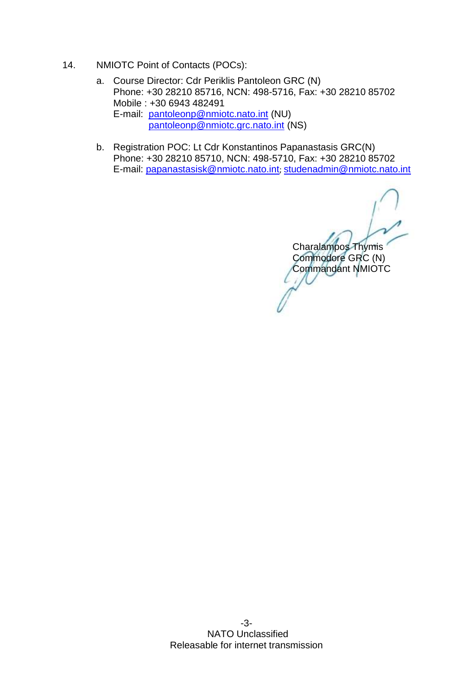- 14. NMIOTC Point of Contacts (POCs):
	- a. Course Director: Cdr Periklis Pantoleon GRC (N) Phone: +30 28210 85716, NCN: 498-5716, Fax: +30 28210 85702 Mobile : +30 6943 482491 E-mail: [pantoleonp@nmiotc.nato.int](mailto:pantoleonp@nmiotc.nato.int) (NU) [pantoleonp@nmiotc.grc.nato.int](mailto:pantoleonp@nmiotc.grc.nato.int) (NS)
	- b. Registration POC: Lt Cdr Konstantinos Papanastasis GRC(N) Phone: +30 28210 85710, NCN: 498-5710, Fax: +30 28210 85702 E-mail: [papanastasisk@nmiotc.nato.int](mailto:papanastasisk@nmiotc.nato.int); [studenadmin@nmiotc.nato.int](mailto:studenadmin@nmiotc.nato.int)

Charalampos Thymis Commodore GRC (N) Commandant NMIOTC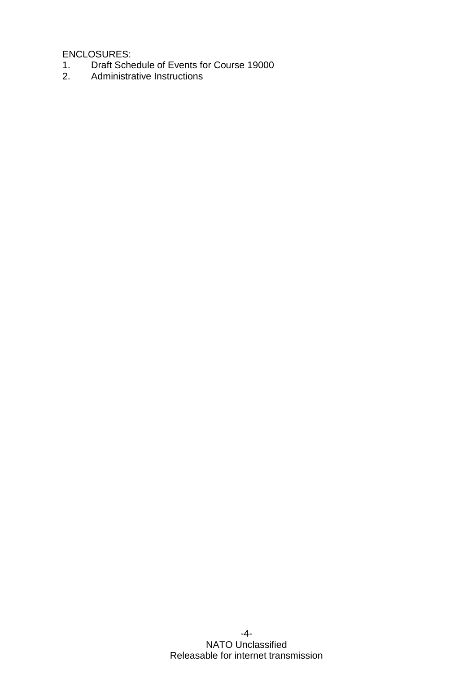ENCLOSURES:

- 1. Draft Schedule of Events for Course 19000<br>2. Administrative Instructions
- Administrative Instructions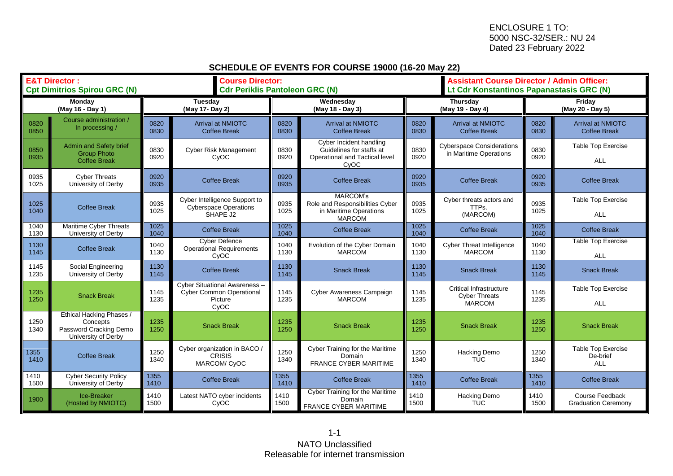## **SCHEDULE OF EVENTS FOR COURSE 19000 (16-20 May 22)**

| <b>E&amp;T Director:</b><br><b>Cpt Dimitrios Spirou GRC (N)</b> |                                                                                              | <b>Course Director:</b><br><b>Cdr Periklis Pantoleon GRC (N)</b> |                                                                                     |                               |                                                                                               | <b>Assistant Course Director / Admin Officer:</b><br>Lt Cdr Konstantinos Papanastasis GRC (N) |                                                                         |                            |                                                     |
|-----------------------------------------------------------------|----------------------------------------------------------------------------------------------|------------------------------------------------------------------|-------------------------------------------------------------------------------------|-------------------------------|-----------------------------------------------------------------------------------------------|-----------------------------------------------------------------------------------------------|-------------------------------------------------------------------------|----------------------------|-----------------------------------------------------|
| Monday<br>(May 16 - Day 1)                                      |                                                                                              | <b>Tuesday</b><br>(May 17- Day 2)                                |                                                                                     | Wednesday<br>(May 18 - Day 3) |                                                                                               | Thursday<br>(May 19 - Day 4)                                                                  |                                                                         | Friday<br>(May 20 - Day 5) |                                                     |
| 0820<br>0850                                                    | Course administration /<br>In processing /                                                   | 0820<br>0830                                                     | <b>Arrival at NMIOTC</b><br><b>Coffee Break</b>                                     | 0820<br>0830                  | <b>Arrival at NMIOTC</b><br><b>Coffee Break</b>                                               | 0820<br>0830                                                                                  | <b>Arrival at NMIOTC</b><br><b>Coffee Break</b>                         | 0820<br>0830               | <b>Arrival at NMIOTC</b><br><b>Coffee Break</b>     |
| 0850<br>0935                                                    | <b>Admin and Safety brief</b><br><b>Group Photo</b><br><b>Coffee Break</b>                   | 0830<br>0920                                                     | <b>Cyber Risk Management</b><br>CyOC                                                | 0830<br>0920                  | Cyber Incident handling<br>Guidelines for staffs at<br>Operational and Tactical level<br>CyOC | 0830<br>0920                                                                                  | <b>Cyberspace Considerations</b><br>in Maritime Operations              | 0830<br>0920               | <b>Table Top Exercise</b><br><b>ALL</b>             |
| 0935<br>1025                                                    | <b>Cyber Threats</b><br>University of Derby                                                  | 0920<br>0935                                                     | <b>Coffee Break</b>                                                                 | 0920<br>0935                  | <b>Coffee Break</b>                                                                           | 0920<br>0935                                                                                  | <b>Coffee Break</b>                                                     | 0920<br>0935               | <b>Coffee Break</b>                                 |
| 1025<br>1040                                                    | <b>Coffee Break</b>                                                                          | 0935<br>1025                                                     | Cyber Intelligence Support to<br><b>Cyberspace Operations</b><br>SHAPE J2           | 0935<br>1025                  | <b>MARCOM's</b><br>Role and Responsibilities Cyber<br>in Maritime Operations<br><b>MARCOM</b> | 0935<br>1025                                                                                  | Cyber threats actors and<br>TTPs.<br>(MARCOM)                           | 0935<br>1025               | <b>Table Top Exercise</b><br><b>ALL</b>             |
| 1040<br>1130                                                    | Maritime Cyber Threats<br>University of Derby                                                | 1025<br>1040                                                     | <b>Coffee Break</b>                                                                 | 1025<br>1040                  | <b>Coffee Break</b>                                                                           | 1025<br>1040                                                                                  | <b>Coffee Break</b>                                                     | 1025<br>1040               | <b>Coffee Break</b>                                 |
| 1130<br>1145                                                    | <b>Coffee Break</b>                                                                          | 1040<br>1130                                                     | <b>Cyber Defence</b><br><b>Operational Requirements</b><br>CyOC                     | 1040<br>1130                  | Evolution of the Cyber Domain<br><b>MARCOM</b>                                                | 1040<br>1130                                                                                  | <b>Cyber Threat Intelligence</b><br><b>MARCOM</b>                       | 1040<br>1130               | Table Top Exercise<br><b>ALL</b>                    |
| 1145<br>1235                                                    | Social Engineering<br>University of Derby                                                    | 1130<br>1145                                                     | <b>Coffee Break</b>                                                                 | 1130<br>1145                  | <b>Snack Break</b>                                                                            | 1130<br>1145                                                                                  | <b>Snack Break</b>                                                      | 1130<br>1145               | <b>Snack Break</b>                                  |
| 1235<br>1250                                                    | <b>Snack Break</b>                                                                           | 1145<br>1235                                                     | Cyber Situational Awareness -<br><b>Cyber Common Operational</b><br>Picture<br>CyOC | 1145<br>1235                  | Cyber Awareness Campaign<br><b>MARCOM</b>                                                     | 1145<br>1235                                                                                  | <b>Critical Infrastructure</b><br><b>Cyber Threats</b><br><b>MARCOM</b> | 1145<br>1235               | <b>Table Top Exercise</b><br><b>ALL</b>             |
| 1250<br>1340                                                    | <b>Ethical Hacking Phases /</b><br>Concepts<br>Password Cracking Demo<br>University of Derby | 1235<br>1250                                                     | <b>Snack Break</b>                                                                  | 1235<br>1250                  | <b>Snack Break</b>                                                                            | 1235<br>1250                                                                                  | <b>Snack Break</b>                                                      | 1235<br>1250               | <b>Snack Break</b>                                  |
| 1355<br>1410                                                    | <b>Coffee Break</b>                                                                          | 1250<br>1340                                                     | Cyber organization in BACO /<br><b>CRISIS</b><br><b>MARCOM/ CyOC</b>                | 1250<br>1340                  | Cyber Training for the Maritime<br>Domain<br><b>FRANCE CYBER MARITIME</b>                     | 1250<br>1340                                                                                  | Hacking Demo<br><b>TUC</b>                                              | 1250<br>1340               | <b>Table Top Exercise</b><br>De-brief<br><b>ALL</b> |
| 1410<br>1500                                                    | <b>Cyber Security Policy</b><br>University of Derby                                          | 1355<br>1410                                                     | <b>Coffee Break</b>                                                                 | 1355<br>1410                  | <b>Coffee Break</b>                                                                           | 1355<br>1410                                                                                  | <b>Coffee Break</b>                                                     | 1355<br>1410               | <b>Coffee Break</b>                                 |
| 1900                                                            | Ice-Breaker<br>(Hosted by NMIOTC)                                                            | 1410<br>1500                                                     | Latest NATO cyber incidents<br>CyOC                                                 | 1410<br>1500                  | Cyber Training for the Maritime<br>Domain<br>FRANCE CYBER MARITIME                            | 1410<br>1500                                                                                  | <b>Hacking Demo</b><br><b>TUC</b>                                       | 1410<br>1500               | Course Feedback<br><b>Graduation Ceremony</b>       |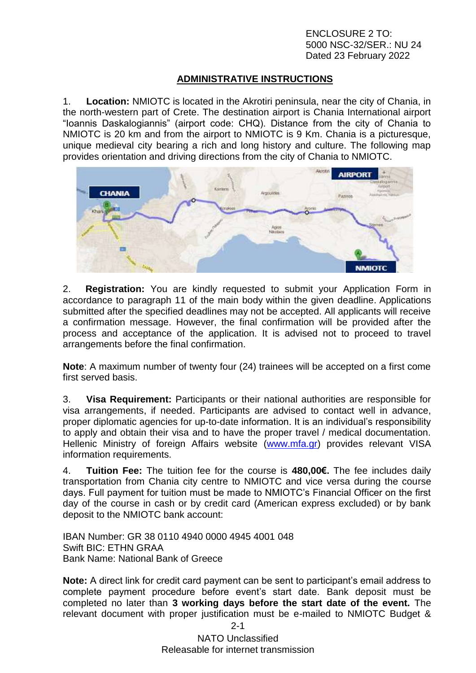## **ADMINISTRATIVE INSTRUCTIONS**

1. **Location:** NMIOTC is located in the Akrotiri peninsula, near the city of Chania, in the north-western part of Crete. The destination airport is Chania International airport "Ioannis Daskalogiannis" (airport code: CHQ). Distance from the city of Chania to NMIOTC is 20 km and from the airport to NMIOTC is 9 Km. Chania is a picturesque, unique medieval city bearing a rich and long history and culture. The following map provides orientation and driving directions from the city of Chania to NMIOTC.



2. **Registration:** You are kindly requested to submit your Application Form in accordance to paragraph 11 of the main body within the given deadline. Applications submitted after the specified deadlines may not be accepted. All applicants will receive a confirmation message. However, the final confirmation will be provided after the process and acceptance of the application. It is advised not to proceed to travel arrangements before the final confirmation.

**Note**: A maximum number of twenty four (24) trainees will be accepted on a first come first served basis.

3. **Visa Requirement:** Participants or their national authorities are responsible for visa arrangements, if needed. Participants are advised to contact well in advance, proper diplomatic agencies for up-to-date information. It is an individual's responsibility to apply and obtain their visa and to have the proper travel / medical documentation. Hellenic Ministry of foreign Affairs website [\(www.mfa.gr\)](http://www.mfa.gr/) provides relevant VISA information requirements.

4. **Tuition Fee:** The tuition fee for the course is **480,00€.** The fee includes daily transportation from Chania city centre to NMIOTC and vice versa during the course days. Full payment for tuition must be made to NMIOTC's Financial Officer on the first day of the course in cash or by credit card (American express excluded) or by bank deposit to the NMIOTC bank account:

IBAN Number: GR 38 0110 4940 0000 4945 4001 048 Swift BIC: ETHN GRAA Bank Name: National Bank of Greece

**Note:** A direct link for credit card payment can be sent to participant's email address to complete payment procedure before event's start date. Bank deposit must be completed no later than **3 working days before the start date of the event.** The relevant document with proper justification must be e-mailed to NMIOTC Budget &

2-1

NATO Unclassified Releasable for internet transmission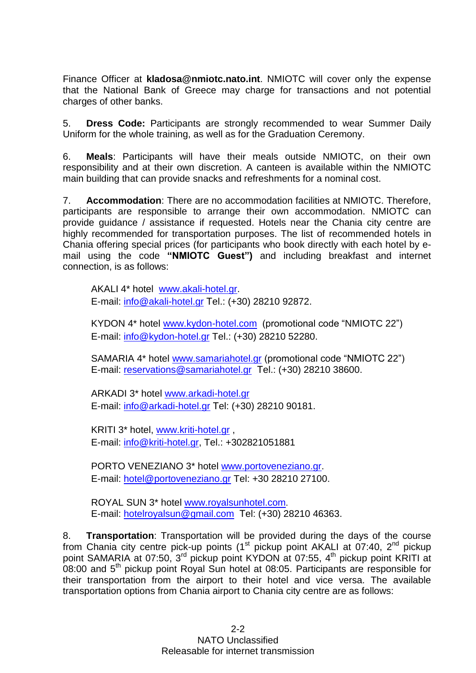Finance Officer at **[kladosa@nmiotc.nato.int](mailto:kladosa@nmiotc.nato.int)**. NMIOTC will cover only the expense that the National Bank of Greece may charge for transactions and not potential charges of other banks.

5. **Dress Code:** Participants are strongly recommended to wear Summer Daily Uniform for the whole training, as well as for the Graduation Ceremony.

6. **Meals**: Participants will have their meals outside NMIOTC, on their own responsibility and at their own discretion. A canteen is available within the NMIOTC main building that can provide snacks and refreshments for a nominal cost.

7. **Accommodation**: There are no accommodation facilities at NMIOTC. Therefore, participants are responsible to arrange their own accommodation. NMIOTC can provide guidance / assistance if requested. Hotels near the Chania city centre are highly recommended for transportation purposes. The list of recommended hotels in Chania offering special prices (for participants who book directly with each hotel by email using the code **"NMIOTC Guest")** and including breakfast and internet connection, is as follows:

AKALI 4\* hotel [www.akali-hotel.gr.](http://www.akali-hotel.gr/) E-mail: [info@akali-hotel.gr](mailto:info@akali-hotel.gr) Τel.: [\(+30\) 28210 9](tel:%2B30%202821038600)2872.

KYDON 4\* hotel [www.kydon-hotel.com](file://nunmisv-apps/Outgoing_Documents/Users/m.woolley/AppData/Local/Microsoft/Windows/Temporary%20Internet%20Files/Content.Outlook/Local%20Settings/Temporary%20Internet%20Files/Content.Outlook/Local%20Settings/Temporary%20Internet%20Files/Content.Outlook/Local%20Settings/Temporary%20Internet%20Files/AppData/Local/Microsoft/Windows/Temporary%20Internet%20Files/lytrase/Local%20Settings/Temporary%20Internet%20Files/Content.Outlook/Local%20Settings/Temporary%20Internet%20Files/vougioukasg/Local%20Settings/Temporary%20Internet%20Files/sampanisk/Local%20Settings/Temporary%20Internet%20Files/Content.Outlook/Local%20Settings/Temporary%20Internet%20Files/Content.Outlook/UZHVFRKX/www.kydon-hotel.com) (promotional code "NMIOTC 22") E-mail: [info@kydon-hotel.gr](mailto:info@kydon-hotel.gr) Tel.: (+30) 28210 52280.

SAMARIA 4\* hotel [www.samariahotel.gr](http://www.samariahotel.gr/) (promotional code "NMIOTC 22") E-mail: [reservations@samariahotel.gr](mailto:reservations@samariahotel.gr) Τel.: [\(+30\) 28210 38600.](tel:%2B30%202821038600)

ARKADI 3\* hotel [www.arkadi-hotel.gr](http://www.arkadi-hotel.gr/) E-mail: [info@arkadi-hotel.gr](mailto:info@arkadi-hotel.gr) Τel: [\(+30\) 28210 9](tel:%2B30%202821038600)0181.

KRITI 3\* hotel, [www.kriti-hotel.gr](http://www.kriti-hotel.gr/) , E-mail: [info@kriti-hotel.gr,](mailto:info@kriti-hotel.gr) Tel.: +302821051881

PORTO VENEZIANO 3\* hotel [www.portoveneziano.gr.](http://www.portoveneziano.gr/) E-mail: [hotel@portoveneziano.gr](mailto:hotel@portoveneziano.gr) Tel: +30 28210 27100.

ROYAL SUN 3\* hotel [www.royalsunhotel.com](http://www.royalsunhotel.com/). E-mail: [hotelroyalsun@gmail.com](mailto:hotelroyalsun@gmail.com) Τel: [\(+30\) 28210 4](tel:%2B30%202821038600)6363.

8. **Transportation**: Transportation will be provided during the days of the course from Chania city centre pick-up points (1<sup>st</sup> pickup point AKALI at 07:40, 2<sup>nd</sup> pickup point SAMARIA at 07:50, 3<sup>rd</sup> pickup point KYDON at 07:55, 4<sup>th</sup> pickup point KRITI at  $08:00$  and  $5<sup>th</sup>$  pickup point Royal Sun hotel at 08:05. Participants are responsible for their transportation from the airport to their hotel and vice versa. The available transportation options from Chania airport to Chania city centre are as follows: